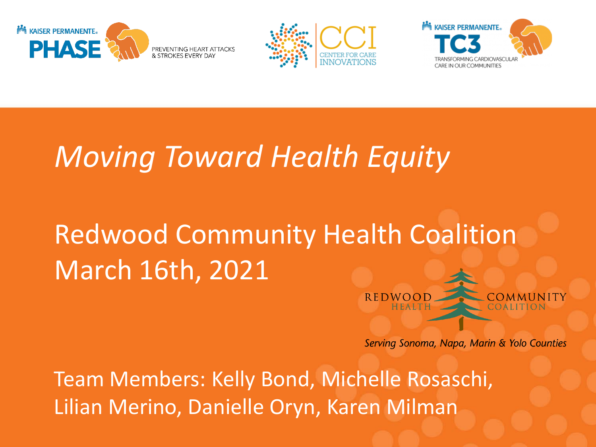





# *Moving Toward Health Equity*

# Redwood Community Health Coalition March 16th, 2021

Serving Sonoma, Napa, Marin & Yolo Counties

**REDWO** 

Team Members: Kelly Bond, Michelle Rosaschi, Lilian Merino, Danielle Oryn, Karen Milman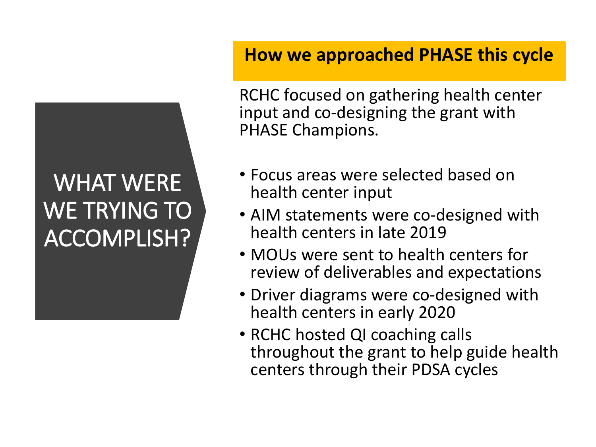# WHAT WERE WE TRYING TO ACCOMPLISH?

# **How we approached PHASE this cycle**

RCHC focused on gathering health center input and co-designing the grant with PHASE Champions.

- Focus areas were selected based on health center input
- AIM statements were co-designed with health centers in late 2019
- MOUs were sent to health centers for review of deliverables and expectations
- Driver diagrams were co-designed with health centers in early 2020
- RCHC hosted QI coaching calls throughout the grant to help guide health centers through their PDSA cycles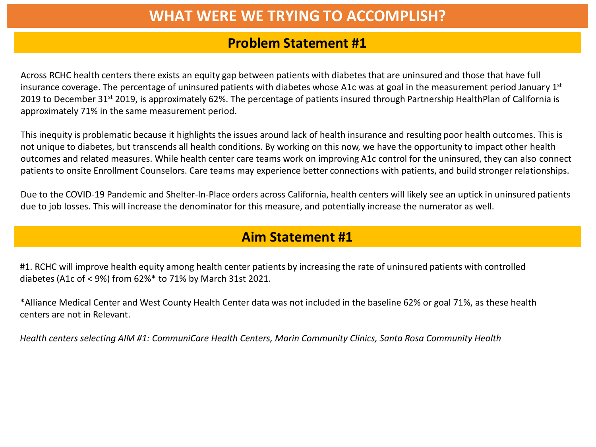# **WHAT WERE WE TRYING TO ACCOMPLISH?**

### **Problem Statement #1**

Across RCHC health centers there exists an equity gap between patients with diabetes that are uninsured and those that have full insurance coverage. The percentage of uninsured patients with diabetes whose A1c was at goal in the measurement period January 1st 2019 to December 31<sup>st</sup> 2019, is approximately 62%. The percentage of patients insured through Partnership HealthPlan of California is approximately 71% in the same measurement period.

This inequity is problematic because it highlights the issues around lack of health insurance and resulting poor health outcomes. This is not unique to diabetes, but transcends all health conditions. By working on this now, we have the opportunity to impact other health outcomes and related measures. While health center care teams work on improving A1c control for the uninsured, they can also connect patients to onsite Enrollment Counselors. Care teams may experience better connections with patients, and build stronger relationships.

Due to the COVID-19 Pandemic and Shelter-In-Place orders across California, health centers will likely see an uptick in uninsured patients due to job losses. This will increase the denominator for this measure, and potentially increase the numerator as well.

### **Aim Statement #1**

#1. RCHC will improve health equity among health center patients by increasing the rate of uninsured patients with controlled diabetes (A1c of < 9%) from 62%\* to 71% by March 31st 2021.

\*Alliance Medical Center and West County Health Center data was not included in the baseline 62% or goal 71%, as these health centers are not in Relevant.

*Health centers selecting AIM #1: CommuniCare Health Centers, Marin Community Clinics, Santa Rosa Community Health*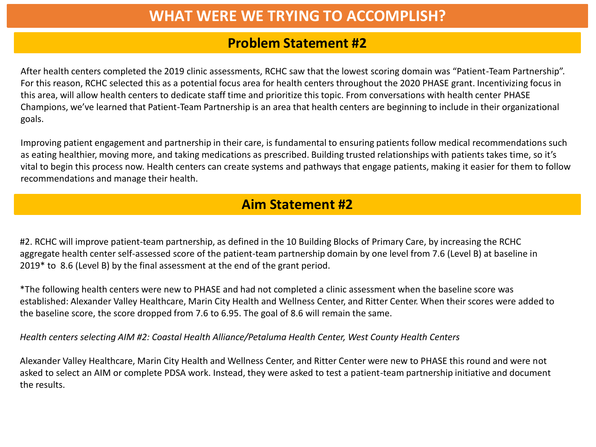# **WHAT WERE WE TRYING TO ACCOMPLISH?**

### **Problem Statement #2**

After health centers completed the 2019 clinic assessments, RCHC saw that the lowest scoring domain was "Patient-Team Partnership". For this reason, RCHC selected this as a potential focus area for health centers throughout the 2020 PHASE grant. Incentivizing focus in this area, will allow health centers to dedicate staff time and prioritize this topic. From conversations with health center PHASE Champions, we've learned that Patient-Team Partnership is an area that health centers are beginning to include in their organizational goals.

Improving patient engagement and partnership in their care, is fundamental to ensuring patients follow medical recommendations such as eating healthier, moving more, and taking medications as prescribed. Building trusted relationships with patients takes time, so it's vital to begin this process now. Health centers can create systems and pathways that engage patients, making it easier for them to follow recommendations and manage their health.

# **Aim Statement #2**

#2. RCHC will improve patient-team partnership, as defined in the 10 Building Blocks of Primary Care, by increasing the RCHC aggregate health center self-assessed score of the patient-team partnership domain by one level from 7.6 (Level B) at baseline in 2019\* to 8.6 (Level B) by the final assessment at the end of the grant period.

\*The following health centers were new to PHASE and had not completed a clinic assessment when the baseline score was established: Alexander Valley Healthcare, Marin City Health and Wellness Center, and Ritter Center. When their scores were added to the baseline score, the score dropped from 7.6 to 6.95. The goal of 8.6 will remain the same.

*Health centers selecting AIM #2: Coastal Health Alliance/Petaluma Health Center, West County Health Centers*

Alexander Valley Healthcare, Marin City Health and Wellness Center, and Ritter Center were new to PHASE this round and were not asked to select an AIM or complete PDSA work. Instead, they were asked to test a patient-team partnership initiative and document the results.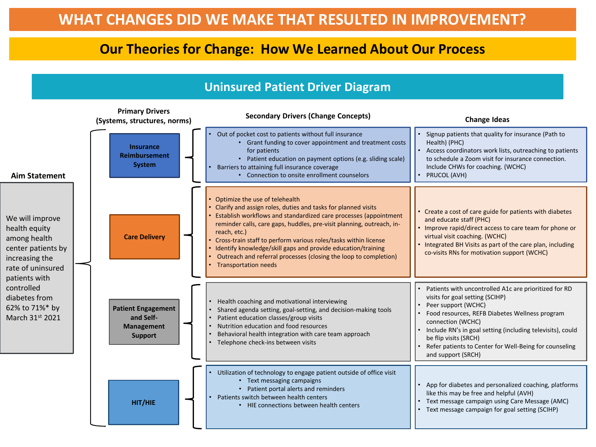### **Our Theories for Change: How We Learned About Our Process**

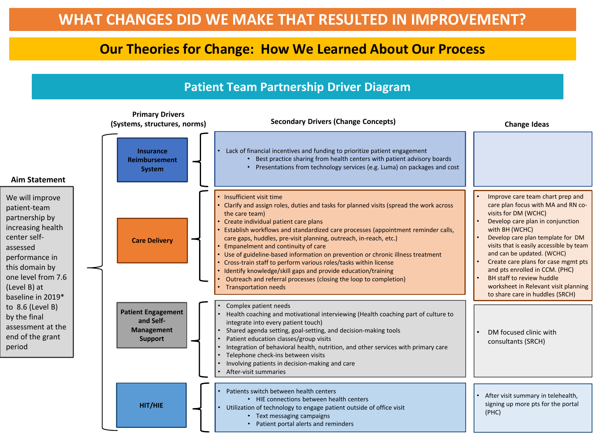# **Our Theories for Change: How We Learned About Our Process**

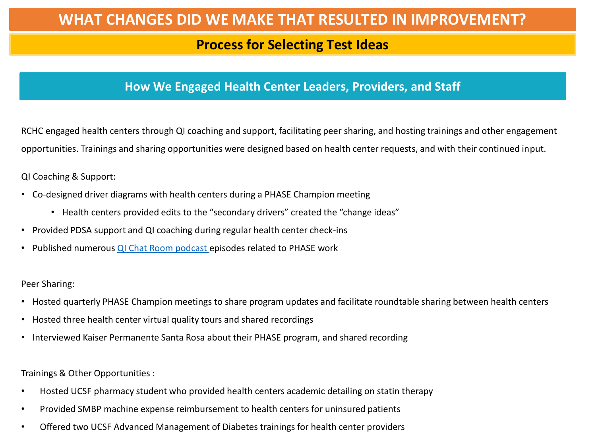### **Process for Selecting Test Ideas**

### **How We Engaged Health Center Leaders, Providers, and Staff**

RCHC engaged health centers through QI coaching and support, facilitating peer sharing, and hosting trainings and other engagement opportunities. Trainings and sharing opportunities were designed based on health center requests, and with their continued input.

QI Coaching & Support:

- Co-designed driver diagrams with health centers during a PHASE Champion meeting
	- Health centers provided edits to the "secondary drivers" created the "change ideas"
- Provided PDSA support and QI coaching during regular health center check-ins
- Published numerous [QI Chat Room podcast e](https://www.rchc.net/blog/qi-chat-room/)pisodes related to PHASE work

Peer Sharing:

- Hosted quarterly PHASE Champion meetings to share program updates and facilitate roundtable sharing between health centers
- Hosted three health center virtual quality tours and shared recordings
- Interviewed Kaiser Permanente Santa Rosa about their PHASE program, and shared recording

Trainings & Other Opportunities :

- Hosted UCSF pharmacy student who provided health centers academic detailing on statin therapy
- Provided SMBP machine expense reimbursement to health centers for uninsured patients
- Offered two UCSF Advanced Management of Diabetes trainings for health center providers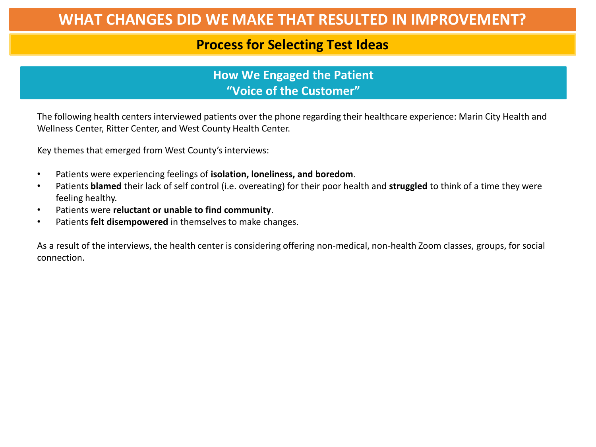### **Process for Selecting Test Ideas**

**How We Engaged the Patient "Voice of the Customer"**

The following health centers interviewed patients over the phone regarding their healthcare experience: Marin City Health and Wellness Center, Ritter Center, and West County Health Center.

Key themes that emerged from West County's interviews:

- Patients were experiencing feelings of **isolation, loneliness, and boredom**.
- Patients **blamed** their lack of self control (i.e. overeating) for their poor health and **struggled** to think of a time they were feeling healthy.
- Patients were **reluctant or unable to find community**.
- Patients **felt disempowered** in themselves to make changes.

As a result of the interviews, the health center is considering offering non-medical, non-health Zoom classes, groups, for social connection.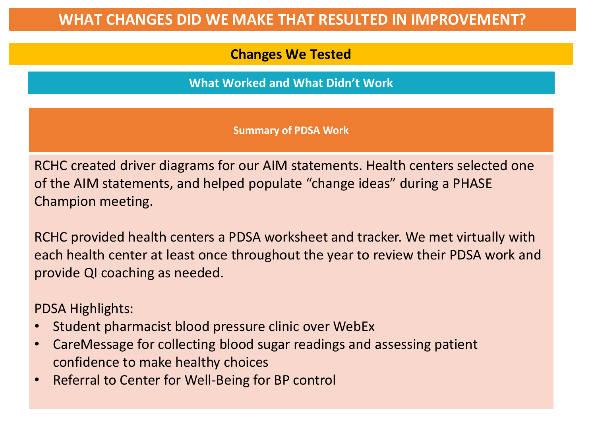# **Changes We Tested**

**What Worked and What Didn't Work**

**Summary of PDSA Work**

RCHC created driver diagrams for our AIM statements. Health centers selected one of the AIM statements, and helped populate "change ideas" during a PHASE Champion meeting.

RCHC provided health centers a PDSA worksheet and tracker. We met virtually with each health center at least once throughout the year to review their PDSA work and provide QI coaching as needed.

PDSA Highlights:

- Student pharmacist blood pressure clinic over WebEx
- CareMessage for collecting blood sugar readings and assessing patient confidence to make healthy choices
- Referral to Center for Well-Being for BP control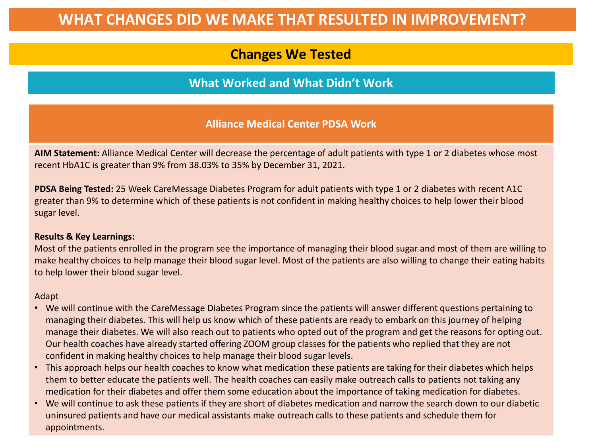# **Changes We Tested**

### **What Worked and What Didn't Work**

### **Alliance Medical Center PDSA Work**

**AIM Statement:** Alliance Medical Center will decrease the percentage of adult patients with type 1 or 2 diabetes whose most recent HbA1C is greater than 9% from 38.03% to 35% by December 31, 2021.

**PDSA Being Tested:** 25 Week CareMessage Diabetes Program for adult patients with type 1 or 2 diabetes with recent A1C greater than 9% to determine which of these patients is not confident in making healthy choices to help lower their blood sugar level.

#### **Results & Key Learnings:**

Most of the patients enrolled in the program see the importance of managing their blood sugar and most of them are willing to make healthy choices to help manage their blood sugar level. Most of the patients are also willing to change their eating habits to help lower their blood sugar level.

- We will continue with the CareMessage Diabetes Program since the patients will answer different questions pertaining to managing their diabetes. This will help us know which of these patients are ready to embark on this journey of helping manage their diabetes. We will also reach out to patients who opted out of the program and get the reasons for opting out. Our health coaches have already started offering ZOOM group classes for the patients who replied that they are not confident in making healthy choices to help manage their blood sugar levels.
- This approach helps our health coaches to know what medication these patients are taking for their diabetes which helps them to better educate the patients well. The health coaches can easily make outreach calls to patients not taking any medication for their diabetes and offer them some education about the importance of taking medication for diabetes.
- We will continue to ask these patients if they are short of diabetes medication and narrow the search down to our diabetic uninsured patients and have our medical assistants make outreach calls to these patients and schedule them for appointments.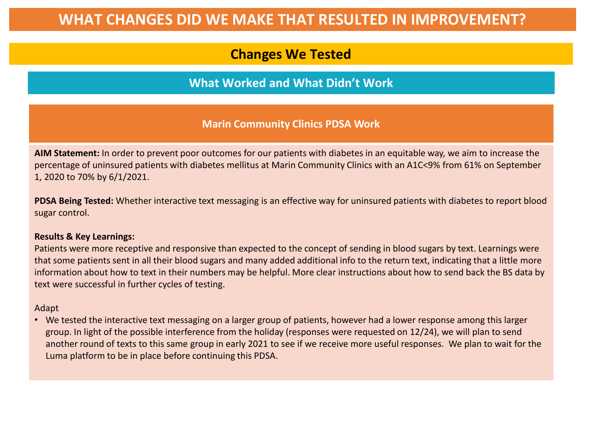# **Changes We Tested**

### **What Worked and What Didn't Work**

### **Marin Community Clinics PDSA Work**

**AIM Statement:** In order to prevent poor outcomes for our patients with diabetes in an equitable way, we aim to increase the percentage of uninsured patients with diabetes mellitus at Marin Community Clinics with an A1C<9% from 61% on September 1, 2020 to 70% by 6/1/2021.

**PDSA Being Tested:** Whether interactive text messaging is an effective way for uninsured patients with diabetes to report blood sugar control.

#### **Results & Key Learnings:**

Patients were more receptive and responsive than expected to the concept of sending in blood sugars by text. Learnings were that some patients sent in all their blood sugars and many added additional info to the return text, indicating that a little more information about how to text in their numbers may be helpful. More clear instructions about how to send back the BS data by text were successful in further cycles of testing.

#### Adapt

• We tested the interactive text messaging on a larger group of patients, however had a lower response among this larger group. In light of the possible interference from the holiday (responses were requested on 12/24), we will plan to send another round of texts to this same group in early 2021 to see if we receive more useful responses. We plan to wait for the Luma platform to be in place before continuing this PDSA.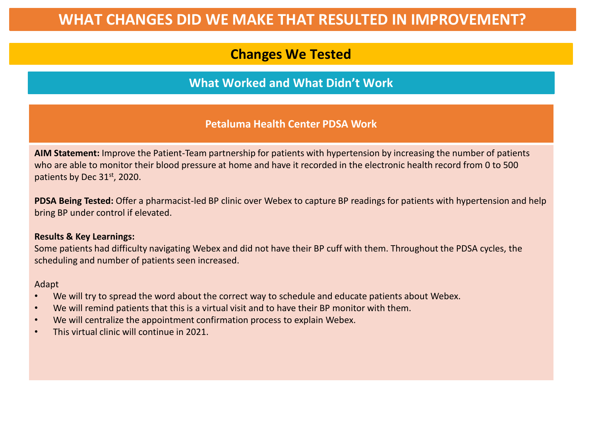# **Changes We Tested**

### **What Worked and What Didn't Work**

### **Petaluma Health Center PDSA Work**

**AIM Statement:** Improve the Patient-Team partnership for patients with hypertension by increasing the number of patients who are able to monitor their blood pressure at home and have it recorded in the electronic health record from 0 to 500 patients by Dec 31<sup>st</sup>, 2020.

**PDSA Being Tested:** Offer a pharmacist-led BP clinic over Webex to capture BP readings for patients with hypertension and help bring BP under control if elevated.

#### **Results & Key Learnings:**

Some patients had difficulty navigating Webex and did not have their BP cuff with them. Throughout the PDSA cycles, the scheduling and number of patients seen increased.

- We will try to spread the word about the correct way to schedule and educate patients about Webex.
- We will remind patients that this is a virtual visit and to have their BP monitor with them.
- We will centralize the appointment confirmation process to explain Webex.
- This virtual clinic will continue in 2021.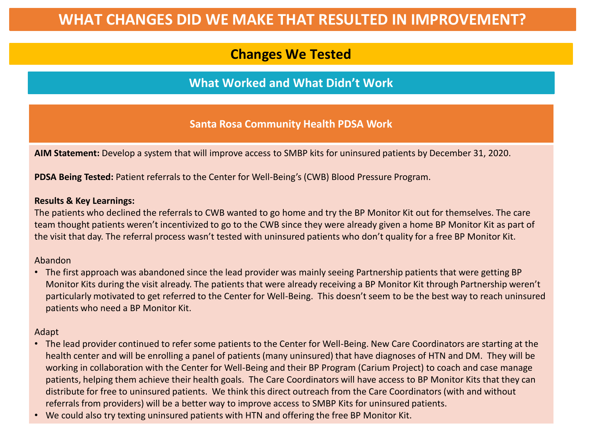# **Changes We Tested**

**What Worked and What Didn't Work**

**Santa Rosa Community Health PDSA Work**

**AIM Statement:** Develop a system that will improve access to SMBP kits for uninsured patients by December 31, 2020.

**PDSA Being Tested:** Patient referrals to the Center for Well-Being's (CWB) Blood Pressure Program.

#### **Results & Key Learnings:**

The patients who declined the referrals to CWB wanted to go home and try the BP Monitor Kit out for themselves. The care team thought patients weren't incentivized to go to the CWB since they were already given a home BP Monitor Kit as part of the visit that day. The referral process wasn't tested with uninsured patients who don't quality for a free BP Monitor Kit.

#### Abandon

• The first approach was abandoned since the lead provider was mainly seeing Partnership patients that were getting BP Monitor Kits during the visit already. The patients that were already receiving a BP Monitor Kit through Partnership weren't particularly motivated to get referred to the Center for Well-Being. This doesn't seem to be the best way to reach uninsured patients who need a BP Monitor Kit.

- The lead provider continued to refer some patients to the Center for Well-Being. New Care Coordinators are starting at the health center and will be enrolling a panel of patients (many uninsured) that have diagnoses of HTN and DM. They will be working in collaboration with the Center for Well-Being and their BP Program (Carium Project) to coach and case manage patients, helping them achieve their health goals. The Care Coordinators will have access to BP Monitor Kits that they can distribute for free to uninsured patients. We think this direct outreach from the Care Coordinators (with and without referrals from providers) will be a better way to improve access to SMBP Kits for uninsured patients.
- We could also try texting uninsured patients with HTN and offering the free BP Monitor Kit.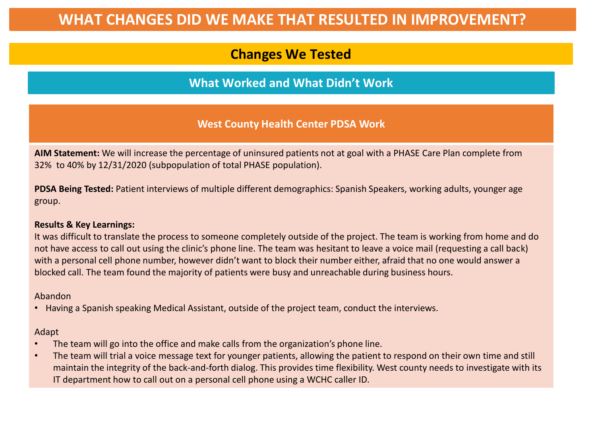# **Changes We Tested**

### **What Worked and What Didn't Work**

### **West County Health Center PDSA Work**

**AIM Statement:** We will increase the percentage of uninsured patients not at goal with a PHASE Care Plan complete from 32% to 40% by 12/31/2020 (subpopulation of total PHASE population).

**PDSA Being Tested:** Patient interviews of multiple different demographics: Spanish Speakers, working adults, younger age group.

#### **Results & Key Learnings:**

It was difficult to translate the process to someone completely outside of the project. The team is working from home and do not have access to call out using the clinic's phone line. The team was hesitant to leave a voice mail (requesting a call back) with a personal cell phone number, however didn't want to block their number either, afraid that no one would answer a blocked call. The team found the majority of patients were busy and unreachable during business hours.

Abandon

• Having a Spanish speaking Medical Assistant, outside of the project team, conduct the interviews.

- The team will go into the office and make calls from the organization's phone line.
- The team will trial a voice message text for younger patients, allowing the patient to respond on their own time and still maintain the integrity of the back-and-forth dialog. This provides time flexibility. West county needs to investigate with its IT department how to call out on a personal cell phone using a WCHC caller ID.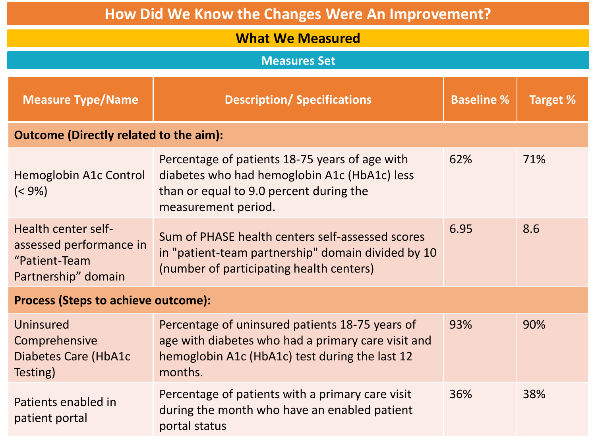| How Did We Know the Changes Were An Improvement?                                       |                                                                                                                                                                    |                   |          |  |  |
|----------------------------------------------------------------------------------------|--------------------------------------------------------------------------------------------------------------------------------------------------------------------|-------------------|----------|--|--|
| <b>What We Measured</b>                                                                |                                                                                                                                                                    |                   |          |  |  |
| <b>Measures Set</b>                                                                    |                                                                                                                                                                    |                   |          |  |  |
| <b>Measure Type/Name</b>                                                               | <b>Description/ Specifications</b>                                                                                                                                 | <b>Baseline %</b> | Target % |  |  |
| <b>Outcome (Directly related to the aim):</b>                                          |                                                                                                                                                                    |                   |          |  |  |
| Hemoglobin A1c Control<br>$(< 9\%)$                                                    | Percentage of patients 18-75 years of age with<br>diabetes who had hemoglobin A1c (HbA1c) less<br>than or equal to 9.0 percent during the<br>measurement period.   | 62%               | 71%      |  |  |
| Health center self-<br>assessed performance in<br>"Patient-Team<br>Partnership" domain | Sum of PHASE health centers self-assessed scores<br>in "patient-team partnership" domain divided by 10<br>(number of participating health centers)                 | 6.95              | 8.6      |  |  |
| <b>Process (Steps to achieve outcome):</b>                                             |                                                                                                                                                                    |                   |          |  |  |
| Uninsured<br>Comprehensive<br><b>Diabetes Care (HbA1c</b><br>Testing)                  | Percentage of uninsured patients 18-75 years of<br>age with diabetes who had a primary care visit and<br>hemoglobin A1c (HbA1c) test during the last 12<br>months. | 93%               | 90%      |  |  |
| Patients enabled in<br>patient portal                                                  | Percentage of patients with a primary care visit<br>during the month who have an enabled patient<br>portal status                                                  | 36%               | 38%      |  |  |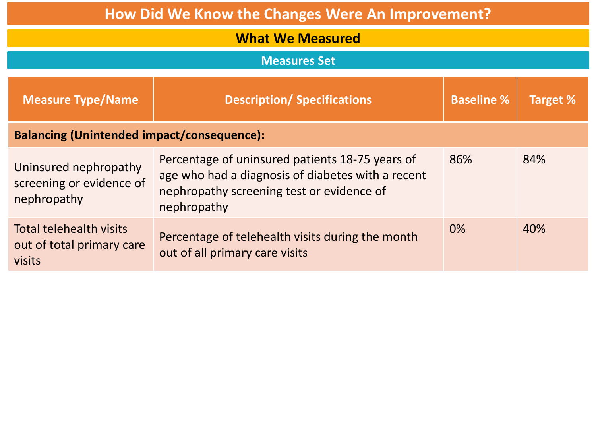| <b>How Did We Know the Changes Were An Improvement?</b>          |                                                                                                                                                                  |                   |          |  |  |
|------------------------------------------------------------------|------------------------------------------------------------------------------------------------------------------------------------------------------------------|-------------------|----------|--|--|
| <b>What We Measured</b>                                          |                                                                                                                                                                  |                   |          |  |  |
| <b>Measures Set</b>                                              |                                                                                                                                                                  |                   |          |  |  |
| <b>Measure Type/Name</b>                                         | <b>Description/Specifications</b>                                                                                                                                | <b>Baseline %</b> | Target % |  |  |
| <b>Balancing (Unintended impact/consequence):</b>                |                                                                                                                                                                  |                   |          |  |  |
| Uninsured nephropathy<br>screening or evidence of<br>nephropathy | Percentage of uninsured patients 18-75 years of<br>age who had a diagnosis of diabetes with a recent<br>nephropathy screening test or evidence of<br>nephropathy | 86%               | 84%      |  |  |
| Total telehealth visits<br>out of total primary care<br>visits   | Percentage of telehealth visits during the month<br>out of all primary care visits                                                                               | 0%                | 40%      |  |  |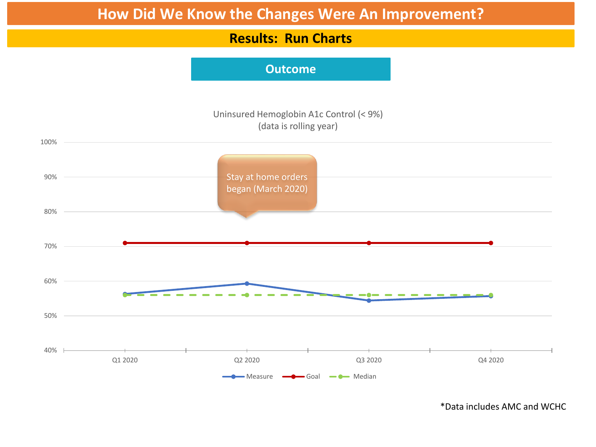### **Results: Run Charts**

### **Outcome**



\*Data includes AMC and WCHC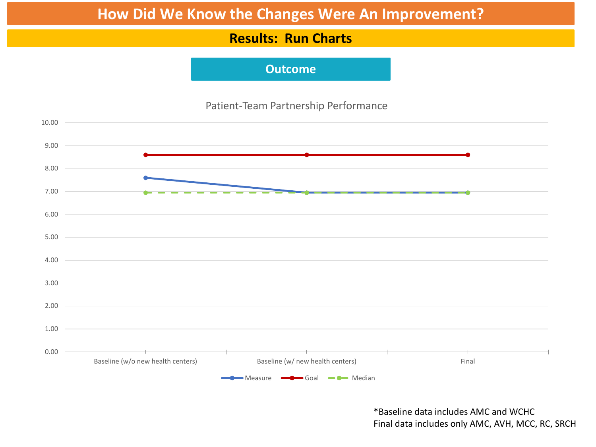### **Results: Run Charts**

### **Outcome**

### Patient-Team Partnership Performance



\*Baseline data includes AMC and WCHC Final data includes only AMC, AVH, MCC, RC, SRCH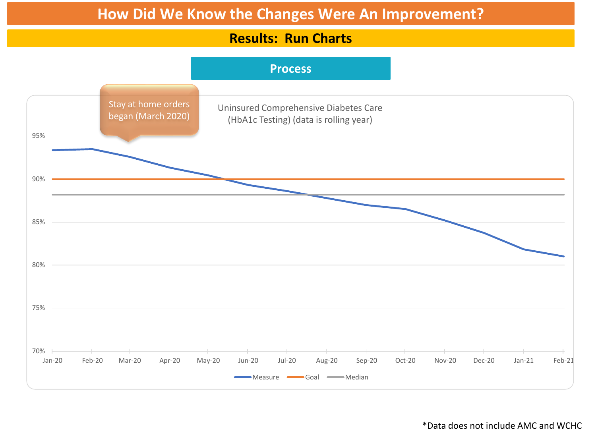### **Results: Run Charts**



\*Data does not include AMC and WCHC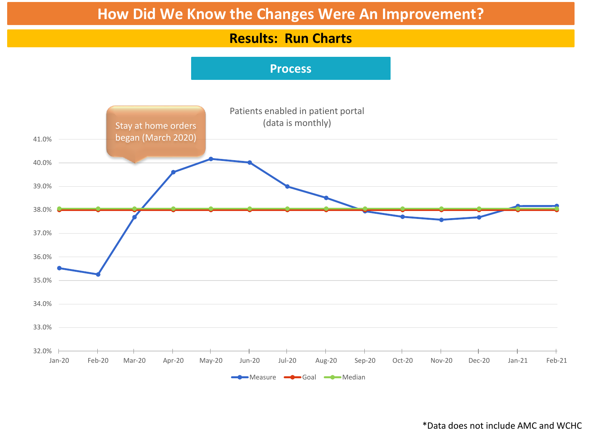### **Results: Run Charts**

### **Process**



\*Data does not include AMC and WCHC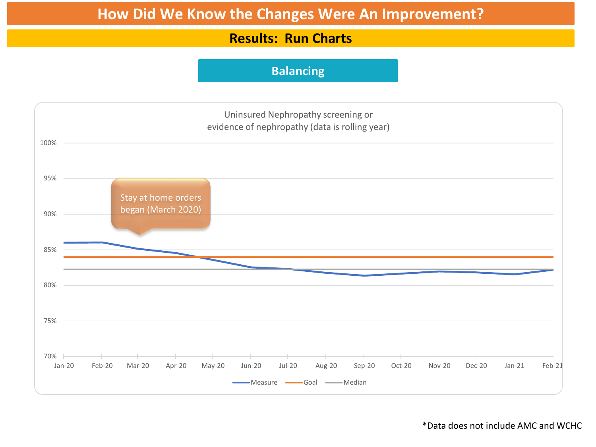### **Results: Run Charts**

### **Balancing**



\*Data does not include AMC and WCHC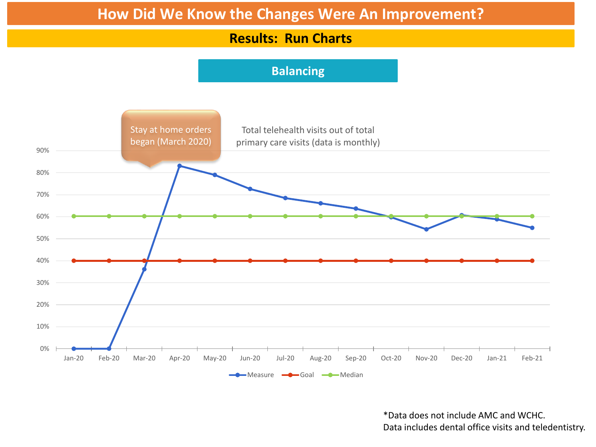### **Results: Run Charts**

### **Balancing**



\*Data does not include AMC and WCHC. Data includes dental office visits and teledentistry.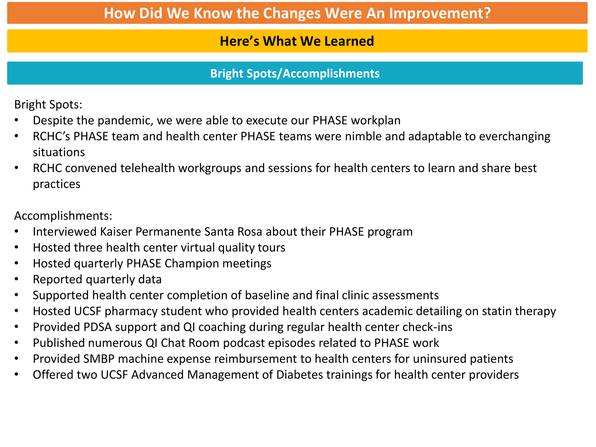# **Here's What We Learned**

# **Bright Spots/Accomplishments**

Bright Spots:

- Despite the pandemic, we were able to execute our PHASE workplan
- RCHC's PHASE team and health center PHASE teams were nimble and adaptable to everchanging situations
- RCHC convened telehealth workgroups and sessions for health centers to learn and share best practices

Accomplishments:

- Interviewed Kaiser Permanente Santa Rosa about their PHASE program
- Hosted three health center virtual quality tours
- Hosted quarterly PHASE Champion meetings
- Reported quarterly data
- Supported health center completion of baseline and final clinic assessments
- Hosted UCSF pharmacy student who provided health centers academic detailing on statin therapy
- Provided PDSA support and QI coaching during regular health center check-ins
- Published numerous QI Chat Room podcast episodes related to PHASE work
- Provided SMBP machine expense reimbursement to health centers for uninsured patients
- Offered two UCSF Advanced Management of Diabetes trainings for health center providers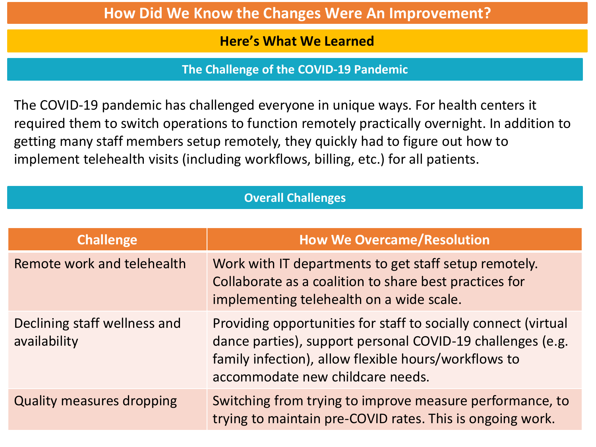### **Here's What We Learned**

**The Challenge of the COVID-19 Pandemic**

The COVID-19 pandemic has challenged everyone in unique ways. For health centers it required them to switch operations to function remotely practically overnight. In addition to getting many staff members setup remotely, they quickly had to figure out how to implement telehealth visits (including workflows, billing, etc.) for all patients.

### **Overall Challenges**

| <b>Challenge</b>                             | <b>How We Overcame/Resolution</b>                                                                                                                                                                                        |
|----------------------------------------------|--------------------------------------------------------------------------------------------------------------------------------------------------------------------------------------------------------------------------|
| Remote work and telehealth                   | Work with IT departments to get staff setup remotely.<br>Collaborate as a coalition to share best practices for<br>implementing telehealth on a wide scale.                                                              |
| Declining staff wellness and<br>availability | Providing opportunities for staff to socially connect (virtual<br>dance parties), support personal COVID-19 challenges (e.g.<br>family infection), allow flexible hours/workflows to<br>accommodate new childcare needs. |
| <b>Quality measures dropping</b>             | Switching from trying to improve measure performance, to<br>trying to maintain pre-COVID rates. This is ongoing work.                                                                                                    |